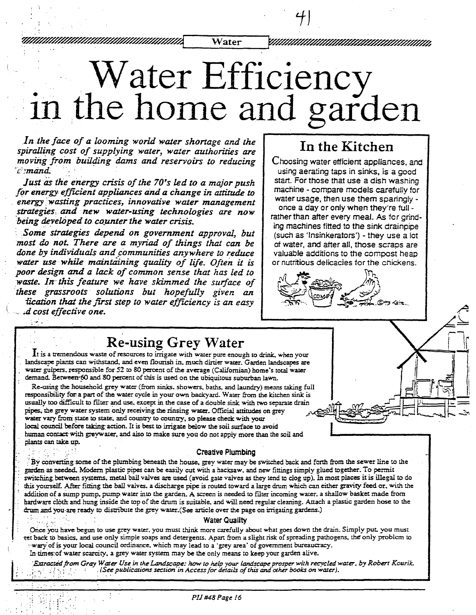*UHUHHHHHH* 

Water

# Water Efficiency<br>in the home and garden

In the face of a looming world water shortage and the spiralling cost of supplying water, water authorities are moving from building dams and reservoirs to reducing **Emand** 

Just as the energy crisis of the 70's led to a major push for energy efficient appliances and a change in attitude to energy wasting practices, innovative water management strategies and new water-using technologies are now being developed to counter the water crisis.

Some strategies depend on government approval, but most do not. There are a myriad of things that can be done by individuals and communities anywhere to reduce water use while maintaining quality of life. Often it is poor design and a lack of common sense that has led to waste. In this feature we have skimmed the surface of these grassroots solutions but hopefully given an lication that the first step to water efficiency is an easy .d cost effective one.

#### In the Kitchen

*UUUUUUUUUUUUUUUUUU* 

Choosing water efficient appliances, and using aerating taps in sinks, is a good start. For those that use a dish washing machine - compare models carefully for water usage, then use them sparingly once a day or only when they're full rather than after every meal. As for grinding machines fitted to the sink drainpipe (such as 'Insinkerators') - they use a lot of water, and after all, those scraps are valuable additions to the compost heap or nutritious delicacies for the chickens.



## **Re-using Grey Water**

It is a tremendous waste of resources to irrigate with water pure enough to drink, when your landscape plants can withstand, and even flourish in, much dirtier water. Garden landscapes are water guipers, responsible for 52 to 80 percent of the average (Californian) home's total water demand. Between 60 and 80 percent of this is used on the ubiquitous suburban lawn.

Re-using the household grey water (from sinks. showers, baths, and laundry) means taking full responsibility for a part of the water cycle in your own backyard. Water from the kitchen sink is usually too difficult to filter and use, except in the case of a double sink with two separate drain pipes, the grey water system only receiving the rinsing water. Official attitudes on grey water vary from state to state, and country to country, so please check with your local council before taking action. It is best to irrigate below the soil surface to avoid human contact with greywater, and also to make sure you do not apply more than the soil and plants can take up.

#### **Creative Plumbing**

By converting some of the plumbing beneath the house, grey water may be switched back and forth from the sewer line to the garden as needed. Modern plastic pipes can be easily cut with a hacksaw, and new fittings simply glued together. To permit switching between systems, metal ball valves are used (avoid gate valves as they tend to clog up). In most places it is illegal to do this yourself. After fitting the ball valves, a discharge pipe is routed toward a large drum which can either gravity feed or, with the addition of a sump pump, pump water into the garden. A screen is needed to filter incoming water, a shallow basket made from hardware cloth and hung inside the top of the drum is suitable, and will need regular cleaning. Attach a plastic garden hose to the drum and you are ready to distribute the grey water. (See article over the page on irrigating gardens.)

#### **Water Quality**

Once you have begun to use grey water, you must think more carefully about what goes down the drain. Simply put, you must get back to basics, and use only simple soaps and detergents. Apart from a slight risk of spreading pathogens, the only problem to wary of is your local council ordinance, which may lead to a 'grey area' of government bureaucracy.

In times of water scarcity, a grey water system may be the only means to keep your garden alive.

Extracted from Gray Water Use in the Landscape: how to help your landscape prosper with recycled water, by Robert Kourik. . (See publications section in Access for details of this and other books on water).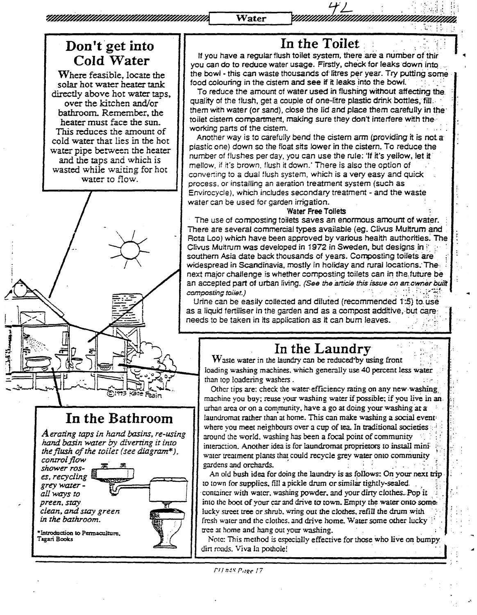In the Toilet

If you have a regular flush toilet system, there are a number of thir you can do to reduce water usage. Firstly, check for leaks down into the bowl - this can waste thousands of litres per year. Try putting some food colouring in the cistem and see if it leaks into the bowl.

To reduce the amount of water used in flushing without affecting the, quality of the flush, get a couple of one-litre plastic drink bottles; fill, them with water (or sand), close the lid and place them carefully in the' toilet cistern compartment, making sure they don't interfere with the· working parts of the cistem.

Another way is to carefully bend the cistern arm (providing it is not a plastic one) down so the float sits lower in the cistern. To reduce the number of flushes per day, you can use the rule: 'If it's yellow, let it' mellow, if irs brown, flush it down.' There is also the option of converting to a dual flush system, which is a very easy and quick process, or installing an aeration treatment system (such as EnvirocycJe), which, includes secondary treatment - and the waste water can be used for garden irrigation.

#### Water Free Toilets

The use of composting toilets saves an enormous amount of water. There are several commercial types available (eg. Clivus Multrum and Rota Loo) which have been approved by various health authorities: The Clivus Multrum was developed in 1972 in Sweden, but designs in it. southern Asia date back thousands of years. Composting toilets are' widespread in Scandinavia, mostly in holiday and rural locations. The: next major challenge is whether composting toilets can in the future be an accepted part of urban living. (See the article this issue on an owner built composting to ilet.) composting toiiet.) , . ' ": "'; :::, ~: :<f.:~'

Urine can be easily collected and diluted (recommended l':S} to,' use as a liquid fertiliser in the garden and as a compost additive, but care: needs to be taken in its application as it can bum leaves.

#### In the Laundry

 $W$  aste water in the laundry can be reduced by using front loading washing machines. which generally use 40 percent less water. than top loadering washers.

Other tips are: check the water-efficiency rating on any new washing, machine you buy; reuse your washing water if possible; if you live in an. machine you buy; reuse yo~ washing water if  $\mu$  possible:  $\mu$  is the unit and in anlaundromat rather than at home. This can make washing a social event: where you meet neighbours over a cup of tea. In traditional societies: around the world, washing has been a focal point of community interaction. Another idea is for laundromat proprietors to install miniwater treatment plants that could recycle grey water onto community gardens and orchards.

An old bush idea for doing the laundry is as follows: On your next trip to town for supplies, fill a pickle drum or similar tightly-sealed. containcr with water, washing powder, and your dirty clothes. Pop it into the boot of your car and drive to town. Empty the water onto somelucky street tree or shrub. wring out the clothes. refill the drum with fresh water and the clothes, and drive home. Water some other lucky tree at home and hang out your washing.

NOle:This method is especially effective for those who live on bumpy dirt roads. Viva la pothole!

Don't get into **Cold Water**

Where feasible, locate the solar hot water heater tank directly above hot water taps, over the kitchen and/or bathroom. Remember, the heater must face the sun. This reduces the amount of cold water that lies in the hot water pipe between the heater and the taps and which is wasted while waiting for hot water to flow.

> $\diagdown$   $\diagup$  $\overleftrightarrow{2}$  $/$   $\rightarrow$

#### **In the Bathroom**

*Aerating taps in hand basins, re-using hand basin water by diverting it into theflush of the toiler (see (iiagram\*),*

*control flow ' shower es, recycling ros-* I<sup>~</sup> <sup>11</sup> *grf!)' all ways water* - f"l/i *to* ~ *preen, stay clean, and stay green in the bathroom.*

\*Introduction to Permaculture. Tagari Books

PH #48 Page 17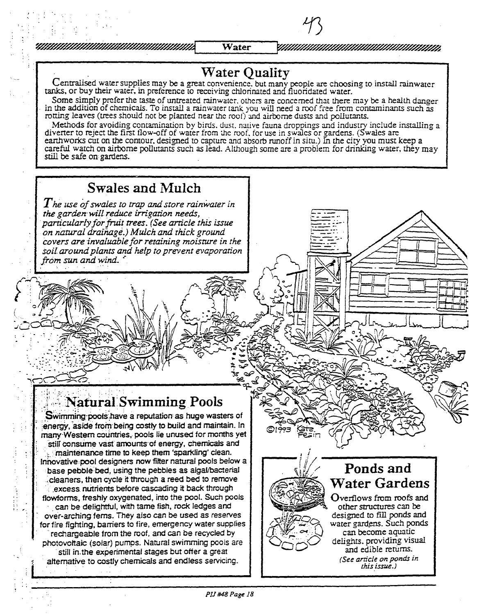, .

 $\frac{1}{2}$  .

Water *William Millian Millian Millian Millian Millian Millian Millian Millian Millian Millian Millian Millian M* 

**Water Quality**<br>Centralised water supplies may be a great convenience, but many people are choosing to install rainwater tanks, or buy their water, in preference to receiving chlorinated and fluoridated water.<br>Some simply prefer the taste of untreated rainwater, others are concerned that there may be a health danger

in the addition of chemicals. To install a rainwater tank you will need a roof free from contaminants such as rotting leaves (trees should not be planted near the root) and airborne dusts and pollutants.<br>Methods for avoiding contamination by birds, dust, native fauna droppings and industry include installing a

diverter to reject the first flow-off of water from the roof, for use in swales or gardens. (Swales are earthworks cut on the contour, designed to capture and absorb runoff in situ.) In the city you must keep a careful watch on airborne pollutants such as lead. Although some are a problem for drinking water, they may still be safe on gardens.

#### **Swales and Mulch**

*The use* of *swales to trap and store rainwater in the garden'willreduce irrigation needs, panicularly for fruit trees. (See article this issue on natural draiizage.) Mulch and thick ground covers are -invaluablefor retaining moisture in the soil around plants and help to prevent evaporation* from sun and wind.

# $"$  Natural Swimming Pools

Swimming pools have a reputation as huge wasters of energy, aside from being costly to build and maintain. In many Western countries, pools lie unused for months yet stiff Consume vast amounts'of energy, chemicals and maintenance time to keep them 'sparkling' clean. Innovative: pool designers now filter natural pools below a .base pebble bed, using the pebbles as algal/bacterial :cleaners, then cycle it through a reed bed to remove excess nutrients before cascading it back through flowforms, freshly oxygenated. into the pool. Such pools can be delightful, with tame fish, rock ledges and over-arching ferns. They also can be used as reserves for fire fighting, barriers to fire, emergency water supplies .rechargeable from the roof, and can be recycled by photovoltaic (solar) pumps. Natural swimming pools are still in. the experimental stages but offer a great alternative to costly chemicals and endless servicing.

## **Ponds and Water Gardens**

Overflows from roofs and other structures can be designed to fill ponds and water gardens. Such ponds can become aquatic delights. providing visual and edible returns. *(See article on ponds in this issue.)*

*PU* #48 *Page 18*